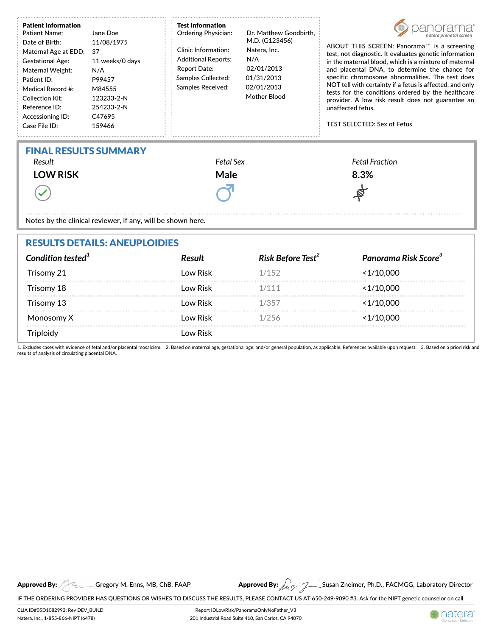| <b>Patient Information</b><br><b>Patient Name:</b><br>Date of Birth:<br>Maternal Age at EDD:<br><b>Gestational Age:</b><br>Maternal Weight:<br>Patient ID:<br>Medical Record #:<br><b>Collection Kit:</b><br>Reference ID:<br>Accessioning ID:<br>Case File ID: | Jane Doe<br>11/08/1975<br>37<br>11 weeks/0 days<br>N/A<br>P99457<br>M84555<br>123233-2-N<br>254233-2-N<br>C47695<br>159466 | <b>Test Information</b><br><b>Ordering Physician:</b><br>Clinic Information:<br><b>Additional Reports:</b><br><b>Report Date:</b><br>Samples Collected:<br><b>Samples Received:</b> | Dr. Matthew Goodbirth.<br>M.D. (G123456)<br>Natera, Inc.<br>N/A<br>02/01/2013<br>01/31/2013<br>02/01/2013<br>Mother Blood | ABOUT THIS SCREEN: Panorama <sup>™</sup> is a screening<br>test, not diagnostic. It evaluates genetic information<br>in the maternal blood, which is a mixture of maternal<br>and placental DNA, to determine the chance for<br>specific chromosome abnormalities. The test does<br>NOT tell with certainty if a fetus is affected, and only<br>tests for the conditions ordered by the healthcare<br>provider. A low risk result does not guarantee an<br>unaffected fetus.<br><b>TEST SELECTED: Sex of Fetus</b> |  |  |  |
|-----------------------------------------------------------------------------------------------------------------------------------------------------------------------------------------------------------------------------------------------------------------|----------------------------------------------------------------------------------------------------------------------------|-------------------------------------------------------------------------------------------------------------------------------------------------------------------------------------|---------------------------------------------------------------------------------------------------------------------------|--------------------------------------------------------------------------------------------------------------------------------------------------------------------------------------------------------------------------------------------------------------------------------------------------------------------------------------------------------------------------------------------------------------------------------------------------------------------------------------------------------------------|--|--|--|
| <b>FINAL RESULTS SUMMARY</b><br>Result<br><b>LOW RISK</b><br>Notes by the clinical reviewer, if any, will be shown here.                                                                                                                                        |                                                                                                                            | <b>Fetal Sex</b><br>Male                                                                                                                                                            |                                                                                                                           | <b>Fetal Fraction</b><br>8.3%                                                                                                                                                                                                                                                                                                                                                                                                                                                                                      |  |  |  |
| RESHITS DETAILS: ANELIDI OIDIES                                                                                                                                                                                                                                 |                                                                                                                            |                                                                                                                                                                                     |                                                                                                                           |                                                                                                                                                                                                                                                                                                                                                                                                                                                                                                                    |  |  |  |

| RESULI S DE I AILS: ANEUPLUIDIES |               |                               |                                  |  |  |
|----------------------------------|---------------|-------------------------------|----------------------------------|--|--|
| Condition tested $1$             | <b>Result</b> | Risk Before Test <sup>2</sup> | Panorama Risk Score <sup>3</sup> |  |  |
| Trisomy 21                       | Low Risk      | 1/152                         | $<$ 1/10.000                     |  |  |
| Trisomy 18                       | Low Risk      | 1/111                         | < 1/10.000                       |  |  |
| Trisomy 13                       | l ow Risk     | 1/357                         | <1/10.000                        |  |  |
| Monosomy X                       | Low Risk      | 1/256                         | <1/10.000                        |  |  |
|                                  | ow Risk       |                               |                                  |  |  |

1. Excludes cases with evidence of fetal and/or placental mosaicism. 2. Based on maternal age, gestational age, and/or general population, as applicable. References available upon request. 3. Based on a priori risk an

Approved By: A Gregory M. Enns, MB, ChB,

IF THE ORDERING PROVIDER HAS QUESTIONS OR WISHES TO DISCUSS THE RESULTS, PLEASE CONTACT US AT 650-249-9090 #3. Ask for the NIPT genetic counselor on call.